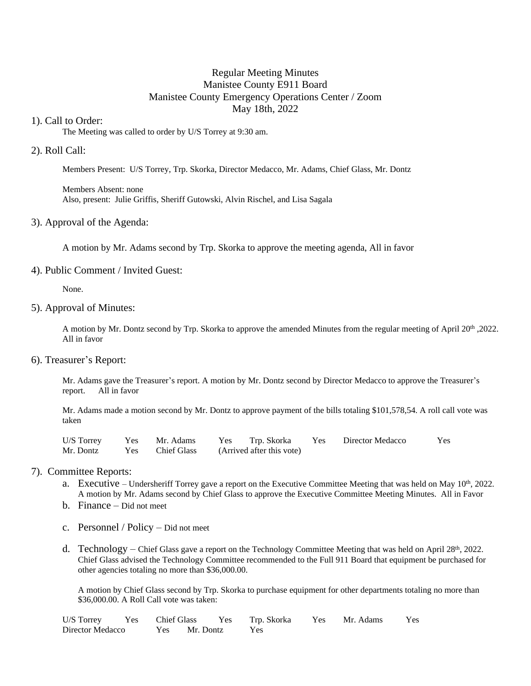# Regular Meeting Minutes Manistee County E911 Board Manistee County Emergency Operations Center / Zoom May 18th, 2022

# 1). Call to Order:

The Meeting was called to order by U/S Torrey at 9:30 am.

# 2). Roll Call:

Members Present: U/S Torrey, Trp. Skorka, Director Medacco, Mr. Adams, Chief Glass, Mr. Dontz

Members Absent: none Also, present: Julie Griffis, Sheriff Gutowski, Alvin Rischel, and Lisa Sagala

### 3). Approval of the Agenda:

A motion by Mr. Adams second by Trp. Skorka to approve the meeting agenda, All in favor

### 4). Public Comment / Invited Guest:

None.

### 5). Approval of Minutes:

A motion by Mr. Dontz second by Trp. Skorka to approve the amended Minutes from the regular meeting of April 20<sup>th</sup> ,2022. All in favor

### 6). Treasurer's Report:

Mr. Adams gave the Treasurer's report. A motion by Mr. Dontz second by Director Medacco to approve the Treasurer's report. All in favor

Mr. Adams made a motion second by Mr. Dontz to approve payment of the bills totaling \$101,578,54. A roll call vote was taken

|  |  |                                                     | U/S Torrey Yes Mr. Adams Yes Trp. Skorka Yes Director Medacco | Yes |
|--|--|-----------------------------------------------------|---------------------------------------------------------------|-----|
|  |  | Mr. Dontz Yes Chief Glass (Arrived after this vote) |                                                               |     |

## 7). Committee Reports:

- a. Executive Undersheriff Torrey gave a report on the Executive Committee Meeting that was held on May  $10<sup>th</sup>$ , 2022. A motion by Mr. Adams second by Chief Glass to approve the Executive Committee Meeting Minutes. All in Favor
- b. Finance Did not meet
- c. Personnel / Policy Did not meet
- d. Technology Chief Glass gave a report on the Technology Committee Meeting that was held on April  $28<sup>th</sup>$ , 2022. Chief Glass advised the Technology Committee recommended to the Full 911 Board that equipment be purchased for other agencies totaling no more than \$36,000.00.

A motion by Chief Glass second by Trp. Skorka to purchase equipment for other departments totaling no more than \$36,000.00. A Roll Call vote was taken:

|                                    |  |  |  | U/S Torrey Yes Chief Glass Yes Trp. Skorka Yes Mr. Adams Yes |  |
|------------------------------------|--|--|--|--------------------------------------------------------------|--|
| Director Medacco Yes Mr. Dontz Yes |  |  |  |                                                              |  |